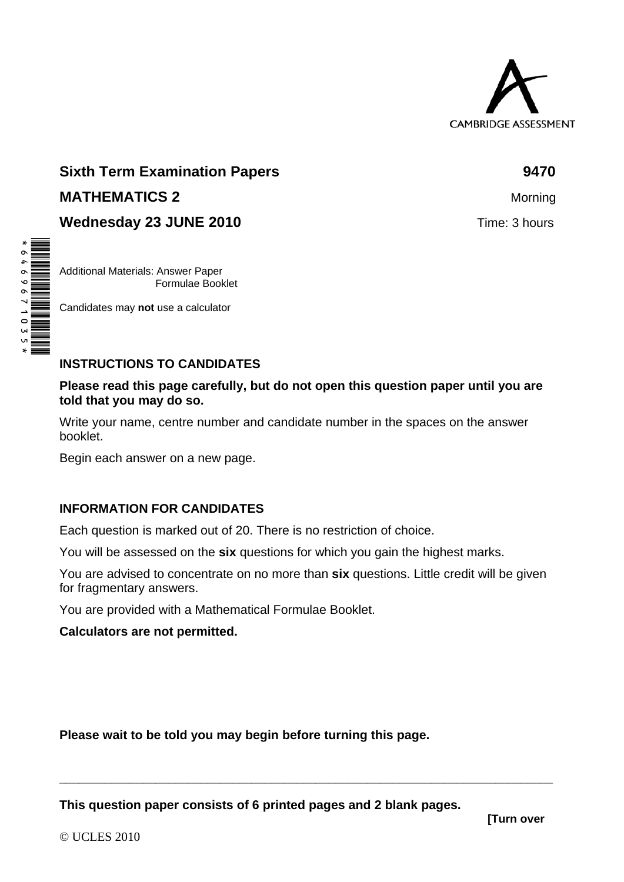

# **Sixth Term Examination Papers 6470 <b>9470 MATHEMATICS 2** Morning **Wednesday 23 JUNE 2010 Time: 3 hours**

Additional Materials: Answer Paper Formulae Booklet

Candidates may **not** use a calculator

### **INSTRUCTIONS TO CANDIDATES**

#### **Please read this page carefully, but do not open this question paper until you are told that you may do so.**

Write your name, centre number and candidate number in the spaces on the answer booklet.

Begin each answer on a new page.

#### **INFORMATION FOR CANDIDATES**

Each question is marked out of 20. There is no restriction of choice.

You will be assessed on the **six** questions for which you gain the highest marks.

You are advised to concentrate on no more than **six** questions. Little credit will be given for fragmentary answers.

**\_\_\_\_\_\_\_\_\_\_\_\_\_\_\_\_\_\_\_\_\_\_\_\_\_\_\_\_\_\_\_\_\_\_\_\_\_\_\_\_\_\_\_\_\_\_\_\_\_\_\_\_\_\_\_\_\_\_\_\_\_\_\_\_\_\_\_\_\_\_\_\_\_\_\_\_\_** 

You are provided with a Mathematical Formulae Booklet.

**Calculators are not permitted.** 

**Please wait to be told you may begin before turning this page.** 

**This question paper consists of 6 printed pages and 2 blank pages.** 

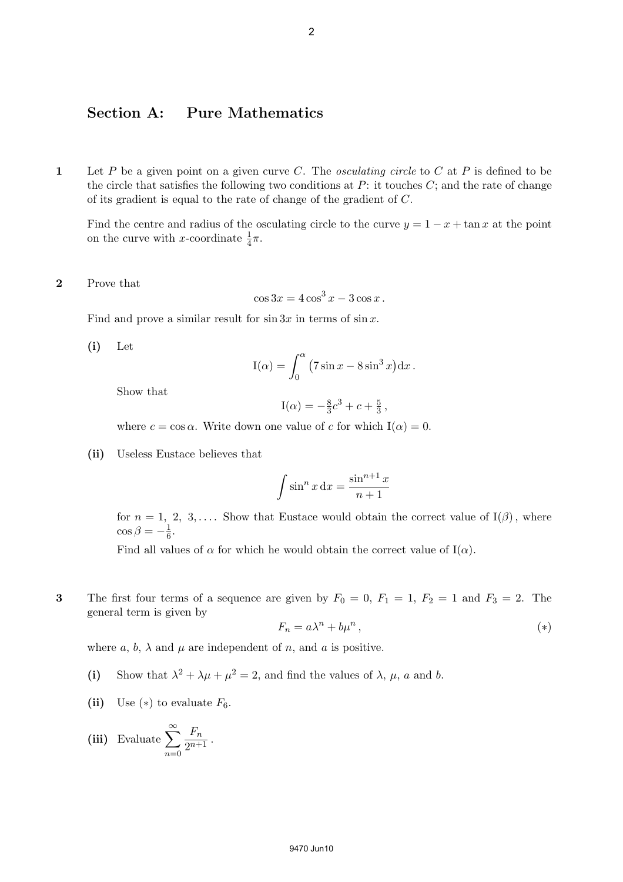#### Section A: Pure Mathematics

1 Let P be a given point on a given curve C. The *osculating circle* to C at P is defined to be the circle that satisfies the following two conditions at  $P$ : it touches  $C$ ; and the rate of change of its gradient is equal to the rate of change of the gradient of C.

Find the centre and radius of the osculating circle to the curve  $y = 1 - x + \tan x$  at the point on the curve with *x*-coordinate  $\frac{1}{4}\pi$ .

2 Prove that

$$
\cos 3x = 4\cos^3 x - 3\cos x.
$$

Find and prove a similar result for  $\sin 3x$  in terms of  $\sin x$ .

(i) Let

$$
I(\alpha) = \int_0^{\alpha} (7\sin x - 8\sin^3 x) dx.
$$

Show that

$$
I(\alpha) = -\frac{8}{3}c^3 + c + \frac{5}{3},
$$

where  $c = \cos \alpha$ . Write down one value of c for which  $I(\alpha) = 0$ .

(ii) Useless Eustace believes that

$$
\int \sin^n x \, dx = \frac{\sin^{n+1} x}{n+1}
$$

for  $n = 1, 2, 3, \ldots$ . Show that Eustace would obtain the correct value of I( $\beta$ ), where  $\cos \beta = -\frac{1}{6}$  $\frac{1}{6}$ .

Find all values of  $\alpha$  for which he would obtain the correct value of I( $\alpha$ ).

3 The first four terms of a sequence are given by  $F_0 = 0$ ,  $F_1 = 1$ ,  $F_2 = 1$  and  $F_3 = 2$ . The general term is given by

$$
F_n = a\lambda^n + b\mu^n, \qquad (*)
$$

where a, b,  $\lambda$  and  $\mu$  are independent of n, and a is positive.

- (i) Show that  $\lambda^2 + \lambda \mu + \mu^2 = 2$ , and find the values of  $\lambda$ ,  $\mu$ , a and b.
- (ii) Use  $(*)$  to evaluate  $F_6$ .

(iii) Evaluate 
$$
\sum_{n=0}^{\infty} \frac{F_n}{2^{n+1}}.
$$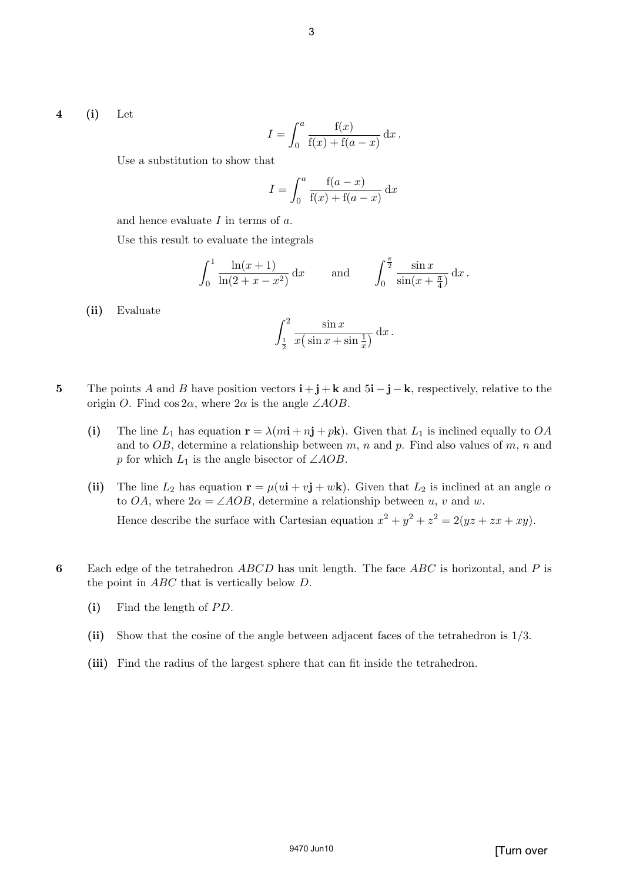3

4 (i) Let

$$
I = \int_0^a \frac{f(x)}{f(x) + f(a-x)} dx.
$$

Use a substitution to show that

$$
I = \int_0^a \frac{f(a-x)}{f(x) + f(a-x)} dx
$$

and hence evaluate  $I$  in terms of  $a$ .

Use this result to evaluate the integrals

$$
\int_0^1 \frac{\ln(x+1)}{\ln(2+x-x^2)} dx \quad \text{and} \quad \int_0^{\frac{\pi}{2}} \frac{\sin x}{\sin(x+\frac{\pi}{4})} dx.
$$

(ii) Evaluate

$$
\int_{\frac{1}{2}}^2 \frac{\sin x}{x(\sin x + \sin \frac{1}{x})} dx.
$$

- 5 The points A and B have position vectors  $\mathbf{i} + \mathbf{j} + \mathbf{k}$  and  $5\mathbf{i} \mathbf{j} \mathbf{k}$ , respectively, relative to the origin O. Find cos  $2\alpha$ , where  $2\alpha$  is the angle  $\angle AOB$ .
	- (i) The line  $L_1$  has equation  $\mathbf{r} = \lambda(m\mathbf{i} + n\mathbf{j} + p\mathbf{k})$ . Given that  $L_1$  is inclined equally to OA and to  $OB$ , determine a relationship between m, n and p. Find also values of m, n and  $p$  for which  $L_1$  is the angle bisector of  $\angle{AOB}.$
	- (ii) The line  $L_2$  has equation  $\mathbf{r} = \mu(u\mathbf{i} + v\mathbf{j} + w\mathbf{k})$ . Given that  $L_2$  is inclined at an angle  $\alpha$ to *OA*, where  $2\alpha = \angle AOB$ , determine a relationship between u, v and w. Hence describe the surface with Cartesian equation  $x^2 + y^2 + z^2 = 2(yz + zx + xy)$ .
- 6 Each edge of the tetrahedron  $ABCD$  has unit length. The face  $ABC$  is horizontal, and P is the point in ABC that is vertically below D.
	- $(i)$  Find the length of PD.
	- (ii) Show that the cosine of the angle between adjacent faces of the tetrahedron is 1/3.
	- (iii) Find the radius of the largest sphere that can fit inside the tetrahedron.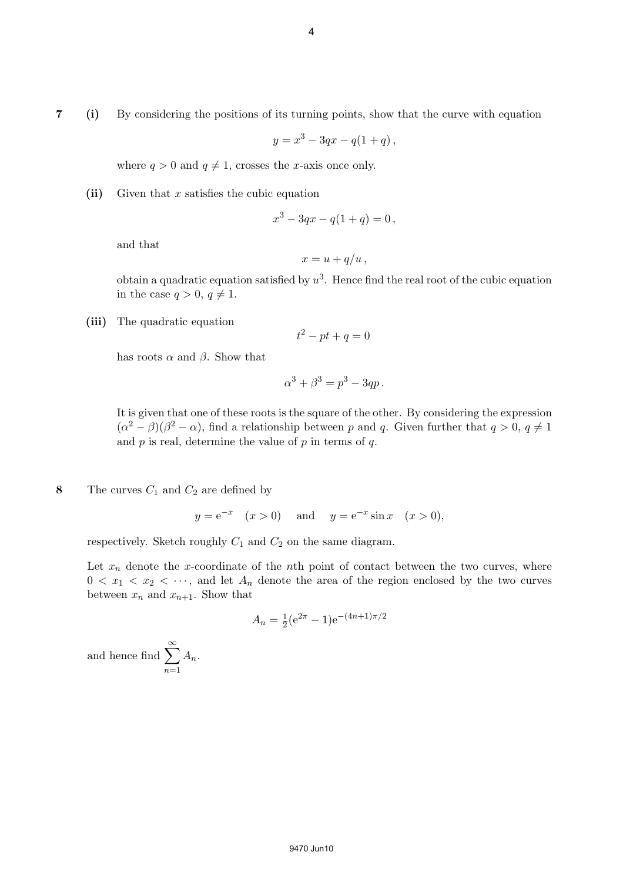7 (i) By considering the positions of its turning points, show that the curve with equation

$$
y = x^3 - 3qx - q(1 + q),
$$

where  $q > 0$  and  $q \neq 1$ , crosses the x-axis once only.

(ii) Given that  $x$  satisfies the cubic equation

$$
x^3 - 3qx - q(1 + q) = 0,
$$

and that

$$
x = u + q/u \,,
$$

obtain a quadratic equation satisfied by  $u^3$ . Hence find the real root of the cubic equation in the case  $q > 0, q \neq 1$ .

(iii) The quadratic equation

$$
t^2 - pt + q = 0
$$

has roots  $\alpha$  and  $\beta$ . Show that

$$
\alpha^3 + \beta^3 = p^3 - 3qp.
$$

It is given that one of these roots is the square of the other. By considering the expression  $(\alpha^2 - \beta)(\beta^2 - \alpha)$ , find a relationship between p and q. Given further that  $q > 0$ ,  $q \neq 1$ and  $p$  is real, determine the value of  $p$  in terms of  $q$ .

8 The curves  $C_1$  and  $C_2$  are defined by

$$
y = e^{-x}
$$
  $(x > 0)$  and  $y = e^{-x} \sin x$   $(x > 0)$ ,

respectively. Sketch roughly  $C_1$  and  $C_2$  on the same diagram.

Let  $x_n$  denote the x-coordinate of the nth point of contact between the two curves, where  $0 < x_1 < x_2 < \cdots$ , and let  $A_n$  denote the area of the region enclosed by the two curves between  $x_n$  and  $x_{n+1}$ . Show that

$$
A_n = \frac{1}{2} (e^{2\pi} - 1) e^{-(4n+1)\pi/2}
$$

and hence find  $\sum_{n=1}^{\infty}$  $n=1$  $A_n$ .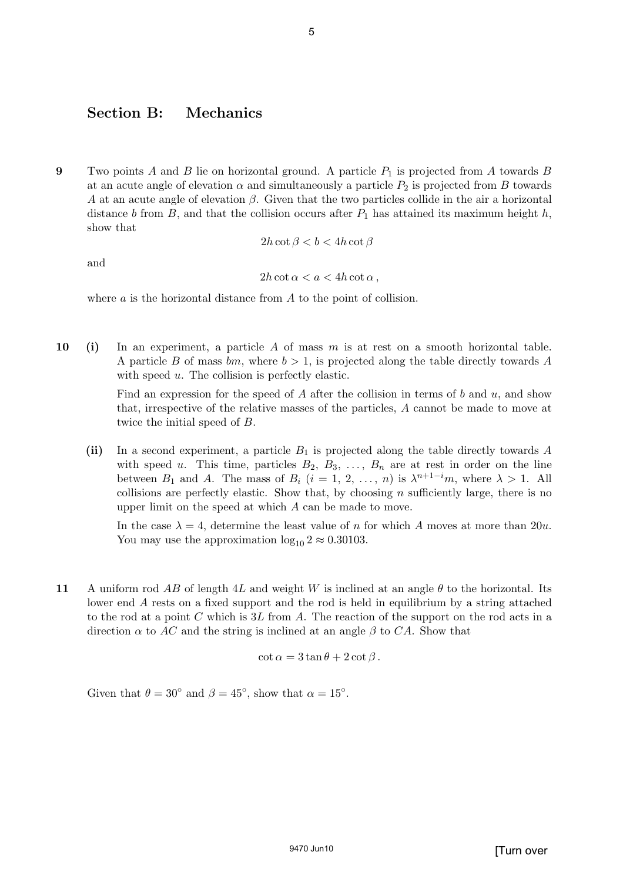#### Section B: Mechanics

9 Two points A and B lie on horizontal ground. A particle  $P_1$  is projected from A towards B at an acute angle of elevation  $\alpha$  and simultaneously a particle  $P_2$  is projected from B towards A at an acute angle of elevation  $\beta$ . Given that the two particles collide in the air a horizontal distance b from B, and that the collision occurs after  $P_1$  has attained its maximum height h, show that

$$
2h\cot\beta < b < 4h\cot\beta
$$

and

 $2h \cot \alpha < a < 4h \cot \alpha$ ,

where a is the horizontal distance from A to the point of collision.

10 (i) In an experiment, a particle  $A$  of mass  $m$  is at rest on a smooth horizontal table. A particle B of mass bm, where  $b > 1$ , is projected along the table directly towards A with speed u. The collision is perfectly elastic.

> Find an expression for the speed of  $A$  after the collision in terms of  $b$  and  $u$ , and show that, irrespective of the relative masses of the particles, A cannot be made to move at twice the initial speed of B.

(ii) In a second experiment, a particle  $B_1$  is projected along the table directly towards A with speed u. This time, particles  $B_2, B_3, \ldots, B_n$  are at rest in order on the line between  $B_1$  and A. The mass of  $B_i$   $(i = 1, 2, ..., n)$  is  $\lambda^{n+1-i}m$ , where  $\lambda > 1$ . All collisions are perfectly elastic. Show that, by choosing n sufficiently large, there is no upper limit on the speed at which A can be made to move.

In the case  $\lambda = 4$ , determine the least value of n for which A moves at more than  $20u$ . You may use the approximation  $\log_{10} 2 \approx 0.30103$ .

11 A uniform rod AB of length 4L and weight W is inclined at an angle  $\theta$  to the horizontal. Its lower end A rests on a fixed support and the rod is held in equilibrium by a string attached to the rod at a point C which is  $3L$  from A. The reaction of the support on the rod acts in a direction  $\alpha$  to AC and the string is inclined at an angle  $\beta$  to CA. Show that

$$
\cot \alpha = 3 \tan \theta + 2 \cot \beta.
$$

Given that  $\theta = 30^{\circ}$  and  $\beta = 45^{\circ}$ , show that  $\alpha = 15^{\circ}$ .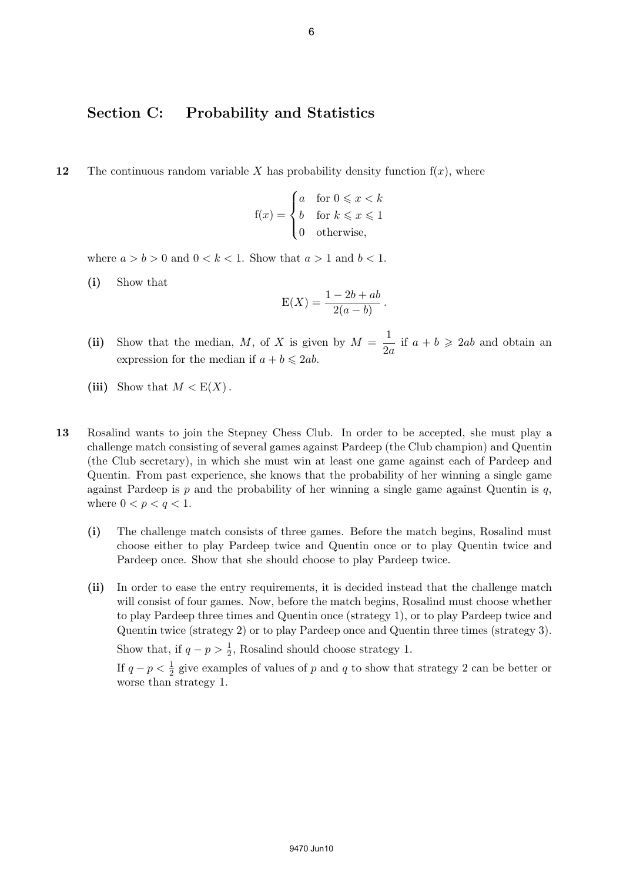#### Section C: Probability and Statistics

12 The continuous random variable X has probability density function  $f(x)$ , where

$$
f(x) = \begin{cases} a & \text{for } 0 \leq x < k \\ b & \text{for } k \leq x \leq 1 \\ 0 & \text{otherwise,} \end{cases}
$$

where  $a > b > 0$  and  $0 < k < 1$ . Show that  $a > 1$  and  $b < 1$ .

(i) Show that

$$
E(X) = \frac{1 - 2b + ab}{2(a - b)}.
$$

- (ii) Show that the median, M, of X is given by  $M = \frac{1}{2}$  $\frac{1}{2a}$  if  $a + b \geqslant 2ab$  and obtain an expression for the median if  $a + b \leq 2ab$ .
- (iii) Show that  $M < E(X)$ .
- 13 Rosalind wants to join the Stepney Chess Club. In order to be accepted, she must play a challenge match consisting of several games against Pardeep (the Club champion) and Quentin (the Club secretary), in which she must win at least one game against each of Pardeep and Quentin. From past experience, she knows that the probability of her winning a single game against Pardeep is p and the probability of her winning a single game against Quentin is  $q$ , where  $0 < p < q < 1$ .
	- (i) The challenge match consists of three games. Before the match begins, Rosalind must choose either to play Pardeep twice and Quentin once or to play Quentin twice and Pardeep once. Show that she should choose to play Pardeep twice.
	- (ii) In order to ease the entry requirements, it is decided instead that the challenge match will consist of four games. Now, before the match begins, Rosalind must choose whether to play Pardeep three times and Quentin once (strategy 1), or to play Pardeep twice and Quentin twice (strategy 2) or to play Pardeep once and Quentin three times (strategy 3). Show that, if  $q - p > \frac{1}{2}$ , Rosalind should choose strategy 1.

If  $q-p < \frac{1}{2}$  $\frac{1}{2}$  give examples of values of p and q to show that strategy 2 can be better or worse than strategy 1.

6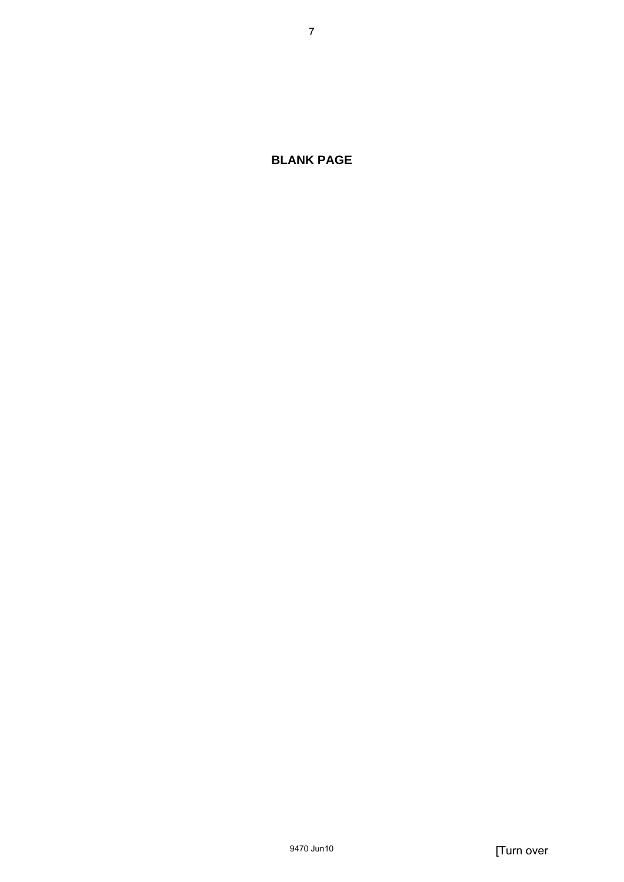**BLANK PAGE** 

7